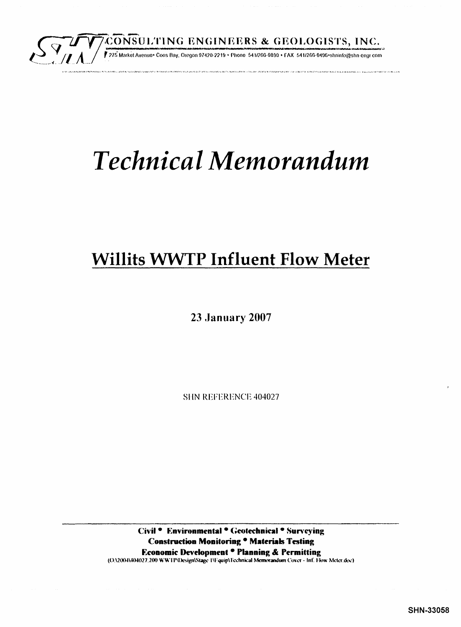

# **Technical Memorandum**

# **Willits WWTP Influent Flow Meter**

**23 January 2007** 

SHN REFERENCE 404027

Civil • Environmental • Geotechnical • Surveying Construction Monitoring . Materials Testing Economic Development · Planning & Permitting (OA2004V404027.200 WWTP\Design\Stage 1\Equip\Technical Memorandum Cover - Inf. Flow Meter.doc)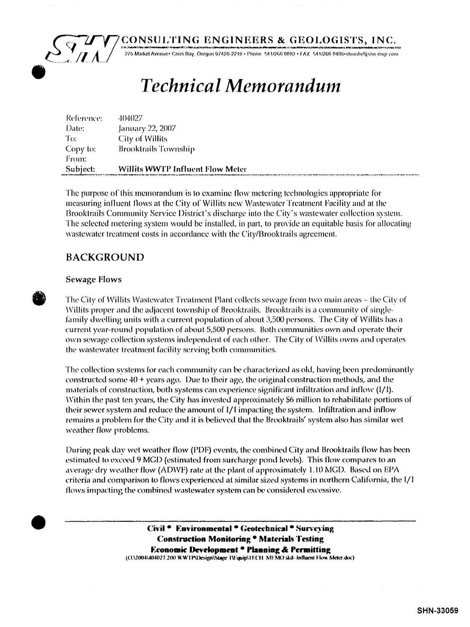

# **Technical Memorandum**

| Reference: | 404027                                  |
|------------|-----------------------------------------|
| Date:      | January 22, 2007                        |
| To:        | City of Willits                         |
| Copy to:   | <b>Brooktrails Township</b>             |
| From:      |                                         |
| Subject:   | <b>Willits WWTP Influent Flow Meter</b> |

The purpose of this memorandum is to examine flow metering technologies appropriate for measuring influent flows at the City of Willits new Wastewater Treatment Facility and at the Brooktrails Community Service District's discharge into the City's wastewater collection system. The selected metering system would be installed, in part, to provide an equitable basis for allocating wastewater treatment costs in accordance with the City/Brooktrails agreement.

# **BACKGROUND**

#### **Sewage Flows**

The City of Willits Wastewater Treatment Plant collects sewage from two main areas - the City of Willits proper and the adjacent township of Brooktrails. Brooktrails is a community of singlefamily dwelling units with a current population of about 3,500 persons. The City of Willits has a current year-round population of about 5,500 persons. Both communities own and operate their own sewage collection systems independent of each other. The City of Willits owns and operates the wastewater treatment facility serving both communities.

The collection systems for each community can be characterized as old, having been predominantly constructed some  $40 +$  years ago. Due to their age, the original construction methods, and the materials of construction, both systems can experience significant infiltration and inflow (I/I). Within the past ten years, the City has invested approximately \$6 million to rehabilitate portions of their sewer system and reduce the amount of I/I impacting the system. Infiltration and inflow remains a problem for the City and it is believed that the Brooktrails' system also has similar wet weather flow problems.

During peak day wet weather flow (PDF) events, the combined City and Brooktrails flow has been estimated to exceed 9 MGD (estimated from surcharge pond levels). This flow compares to an average dry weather flow (ADWF) rate at the plant of approximately 1.10 MGD. Based on EPA criteria and comparison to flows experienced at similar sized systems in northern California, the l/l flows impacting the combined wastewater system can be considered excessive.

> Civil • Environmental • Geotechnical • Surveying **Construction Monitoring . Materials Testing** Economic Development . Planning & Permitting (O.\2004\404027.200 WWTP\Design\Stage 1\Equip\TECH MEMO skd-Influent Flow Meter.doc)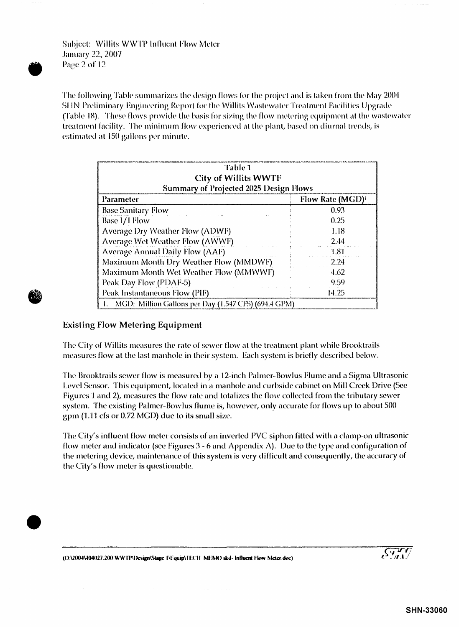Subject: Willits WWTP Influent Flow Meter January 22. 2007 • Page 2 or 12

The following Table summarizes the design flows for the project and is taken from the May 2004 SHN Preliminary Engineering Report for the Willits Wastewater Treatment Facilities Upgrade (Table 18). These flows provide the basis for sizing the flow metering equipment at the wastewater treatment facility. The minimum flow experienced at the plant, based on diurnal trends, is estimated at 150 gallons per minute.

| <b>Table 1</b><br><b>City of Willits WWTF</b><br><b>Summary of Projected 2025 Design Flows</b> |      |  |  |  |  |  |  |
|------------------------------------------------------------------------------------------------|------|--|--|--|--|--|--|
|                                                                                                |      |  |  |  |  |  |  |
| <b>Base Sanitary Flow</b>                                                                      | 0.93 |  |  |  |  |  |  |
| Base I/I Flow                                                                                  | 0.25 |  |  |  |  |  |  |
| 1.18<br><b>Average Dry Weather Flow (ADWF)</b>                                                 |      |  |  |  |  |  |  |
| <b>Average Wet Weather Flow (AWWF)</b><br>2.44                                                 |      |  |  |  |  |  |  |
| <b>Average Annual Daily Flow (AAF)</b><br>1.81                                                 |      |  |  |  |  |  |  |
| Maximum Month Dry Weather Flow (MMDWF)<br>2.24                                                 |      |  |  |  |  |  |  |
| Maximum Month Wet Weather Flow (MMWWF)<br>4.62                                                 |      |  |  |  |  |  |  |
| Peak Day Flow (PDAF-5)<br>9.59                                                                 |      |  |  |  |  |  |  |
| Peak Instantaneous Flow (PIF)<br>14.25                                                         |      |  |  |  |  |  |  |

#### Existing Flow Metering Equipment

**•** 

•

The City of Willits measures the rate of sewer flow at the treatment plant while Brooktrails measures flow at the last manhole in their system. Each system is briefly described below.

The Brooktrails sewer flow is measured by a 12-inch Palmer-Bowlus Flume and a Sigma Ultrasonic Level Sensor. This equipment, located in a manhole and curbside cabinet on Mill Creek Drive (See Figures 1 and 2), measures the flow rate and totalizes the flow collected from the tributary sewer system. The existing Palmer-Bowlus flume is, however, only accurate for flows up to about SOD gpm  $(1.11 \text{ cfs or } 0.72 \text{ MGD})$  due to its small size.

The City's influent flow meter consists of an inverted PVC siphon fitted with a clamp-on ultrasonic flow meter and indicator (see Figures 3 - 6 and Appendix A). Due to the type and configuration of the metering device, maintenance of this system is very difficult and consequently, the accuracy of the City's flow meter is questionahle\_

SHN-33060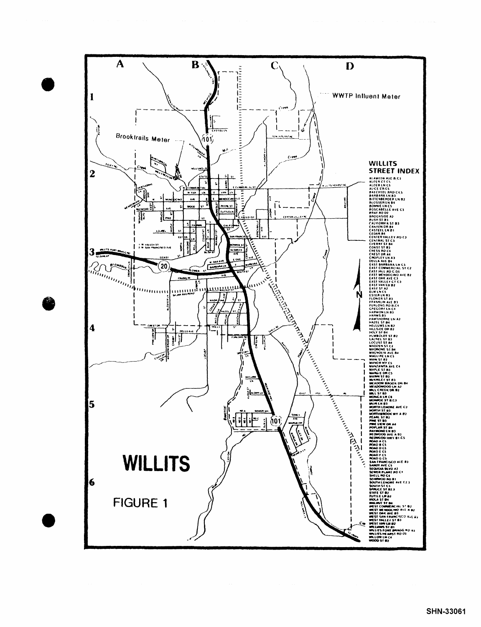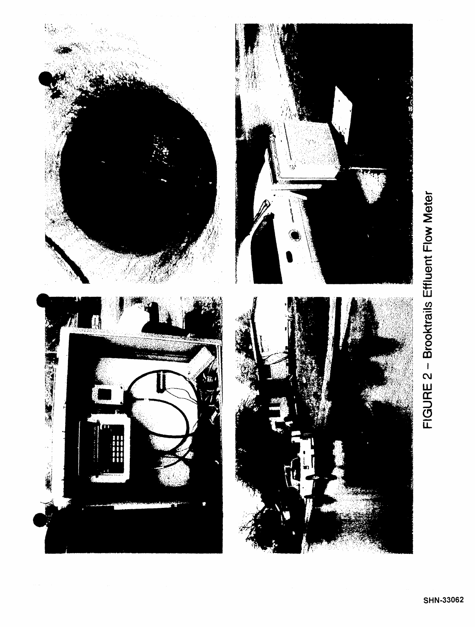

# FIGURE 2 - Brooktrails Effluent Flow Meter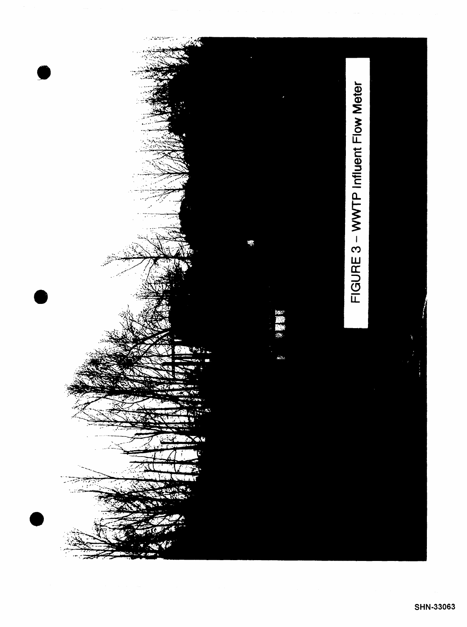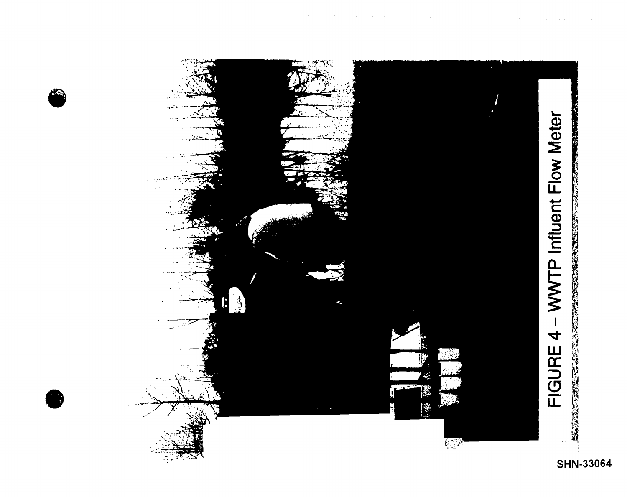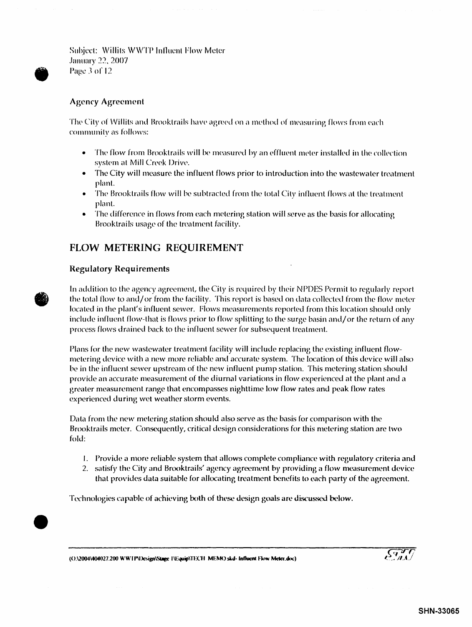Suhject: \Villits W\VTP Influent Flow Meter January 22, 2007 Page 3 of 12

#### **Agency Agreement**

The City of Willits and Brooktrails have agreed on a method of measuring flows from each community as follows:

- The flow from Brooktrails will be measured by an effluent meter installed in the collection system at Mill Creek Drive.
- The City will measure the influent flows prior to introduction into the wastewater treatment plant.
- The Brooktrails flow will be subtracted from the total City influent flows at the treatment plant.
- The difference in flows from each metering station will serve as the basis for allocating Brooktrails usage of the treatment facility.

# FLOW METERING REQUIREMENT

#### Regulatory Requirements

 $\bullet$ 

•

In addition to the agency agreement, the City is required by their NPDES Permit to regularly report the total flow to and/ or from the facility. This report is based on data collected from the flow meter located in the plant's influent sewer. Flows measurements reported from this location should only include influent flow-that is flows prior to flow splitting to the surge basin and/ or the return of any process flows drained back to the influent sewer for subsequent treatment.

Plans for the new wastewater treatment facility will include replacing the existing influent flowmetering device with a new more reliable and accurate system. The location of this device will also be in the influent sewer upstream of the new influent pump station. This metering station should provide an accurate measurement of the diurnal variations in flow experienced at the plant and a greater measurement range that encompasses nighttime low flow rates and peak flow rates experienced during wet weather storm events.

Data from the new metering station should also serve as the basis for comparison with the Brooktrails meter. Consequently, critical design considerations for this metering station arc two fold:

- I. Provide a more reliable system that allows complete compliance with regulatory criteria and
- 2. satisfy the City and Brooktrails' agency agreement by providing a flow measurement device that provides data suitable for allocating treatment benefits to each party of the agreement.

Technologies capable of achieving both of these design goals are discussed below.

(O:\2004\404027.200 WWTP\Design\Stage I\l:quip\TECH\_MEMO skd- Influent Flow Meter.doc)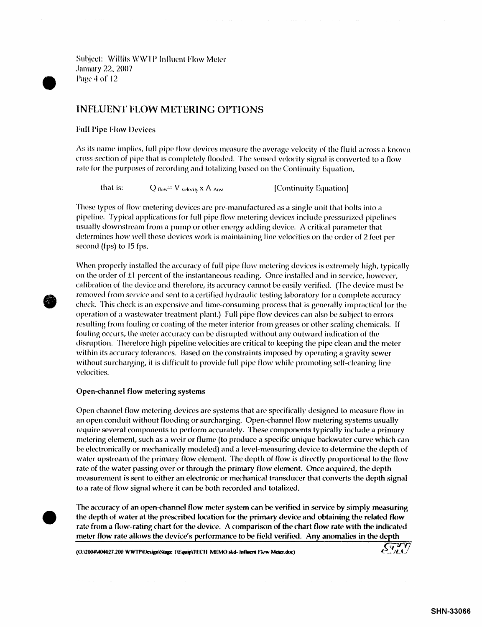Subject: Willits WWTP Influent Flow Meter January 22, 2007 Page 4 of 12

### INFLUENT FLOW METERING OPTIONS

**Full Pipe Flow Devices** 

•

**•** 

•

As its name implies, full pipe flow devices measure the average velocity of the fluid across a known cross-section of pipe that is completely flooded. The sensed velocity signal is converted to a flow rate for the purposes of recording and totalizing based on the Continuity Equation,

that is:  $Q_{flow} = V_{velocity} \times A_{Area}$  [Continuity Equation]

These types of flow metering devices are pre-manufactured as a single unit that bolts into a pipeline. Typical applications for full pipe flow metering devices include pressurized pipelines usually downstream from a pump or other energy adding device. A critical parameter that determines how well these devices work is maintaining line velocities on the order of 2 feet per second (fps) to 15 fps.

When properly installed the accuracy of full pipe flow metering devices is extremely high, typically on the order of  $\pm 1$  percent of the instantaneous reading. Once installed and in service, however, calibration of the device and therdore, its accuracy cannot be easily verified. (The device must he removed from service and sent to a certified hydraulic testing laboratory for a complete accuracy check. This check is an expensive and time-consuming process that is generally impractical for the operation of a wastewater treatment plant.) Full pipe flow devices can also be subject to errors resulting from fouling or coating of the meter interior from greases or other scaling chemicals. If fouling occurs, the meter accuracy can be disrupted without any outward indication of the disruption. Therefore high pipeline velocities are critical to keeping the pipe clean and the meter within its accuracy tolerances. Based on the constraints imposed by operating a gravity *sewer*  without surcharging, it is difficult to provide full pipe flow while promoting self-cleaning line velocities.

#### Open-channel flow metering systems

Open channel flow metering devices are systems that are specifically designed to measure flow in an open conduit without flooding or surcharging. Open-channel flow metering systems usually require several components to perform accurately. These components typically include a primary metering element, such as a weir or flume (to produce a specific unique backwater curve which can be electronically or mechanically modeled) and a level-measuring device to determine the depth of water upstream of the primary flow element. The depth of flow is directly proportional to the flow rate of the water passing over or through the primary flow element. Once acquired, the depth measurement is sent to either an electronic or mechanical transducer that converts the depth signal to a rate of flow signal where it can be both recorded and totalized.

The accuracy of an open-channel flow meter system can be verified in service by simply measuring the depth of water at the prescribed location for the primary device and obtaining the related flow rate from a flow-rating chart for the device. A comparison of the chart flow rate with the indicated meter flow rate allows the device's performance to be field verified. Any anomalies in the depth  $\sqrt{377}$ 

(O.\2004\404027.200 WWTP\Lesign\Stage 1\Fquip\TECH MEMO skd- Influent Fkw Meter.doc)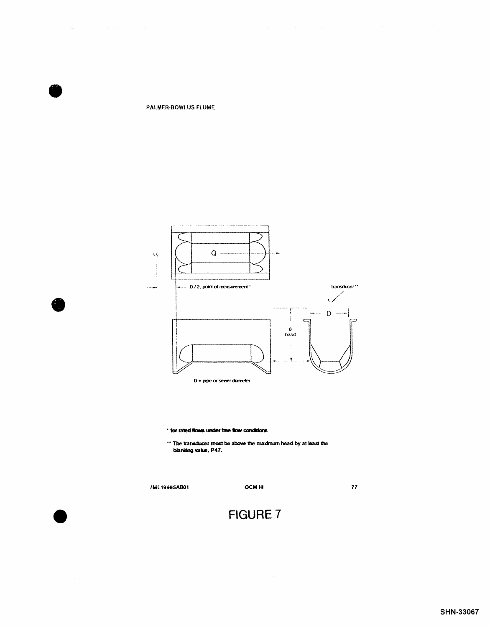PALMER-BOWLUS FLUME



\* for rated flows under free flow conditions

 $\cdot\cdot$  The transducer must be above the maximum head by at least the blanking value, P47.

7ML19985AB01

**OCM III** 

77

# FIGURE 7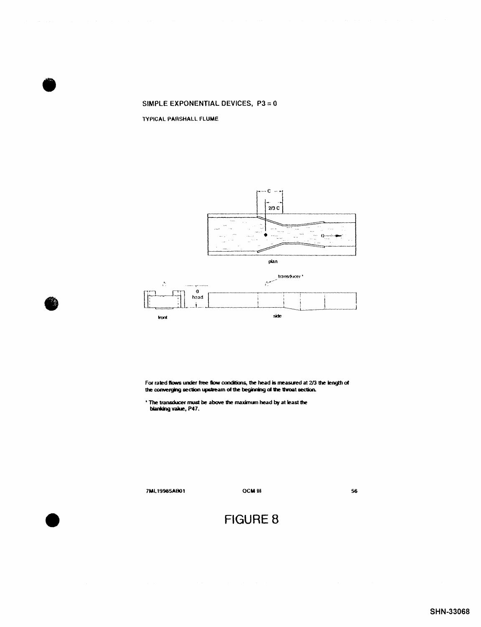#### SIMPLE EXPONENTIAL DEVICES,  $P3 = 0$

TYPICAL PARSHALL FLUME





For rated flows under free flow conditions, the head is measured at 2/3 the length of the converging section upstream of the beginning of the throat section.

\* The transducer must be above the maximum head by at least the blanking value, P47.

7ML19985AB01

**OCM III** 

56

# **FIGURE 8**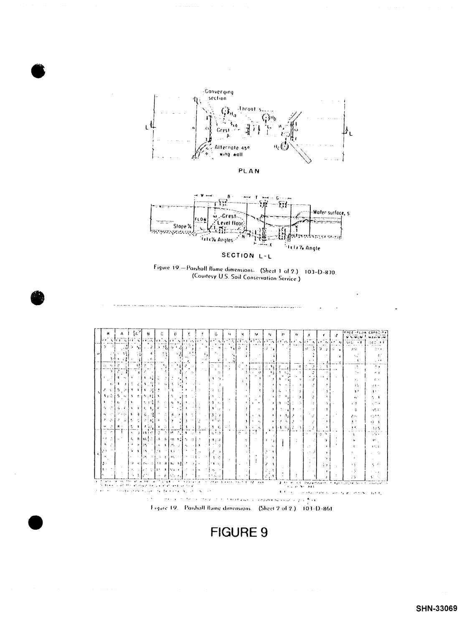# **FIGURE 9**

Figure 19. Parshall flume dimensions. (Sheet 2 of 2.) 103-D-861

|              |                 |                                           |                 |          | $A \parallel \frac{2}{3}L^2$ |                      | H                      |                                 |              | Ċ.             |              | $\mathbf{D}$ |                      | r                              |                                                                | G.                          |    | 34                                                                                                                                         | к          |                  | 54                                   | M.                                  | P.       |      | $\alpha$                 | ×                                             |      |                      | z                    | FREE-FLOW CAPACITY                                                                                                                                                                     |                         |
|--------------|-----------------|-------------------------------------------|-----------------|----------|------------------------------|----------------------|------------------------|---------------------------------|--------------|----------------|--------------|--------------|----------------------|--------------------------------|----------------------------------------------------------------|-----------------------------|----|--------------------------------------------------------------------------------------------------------------------------------------------|------------|------------------|--------------------------------------|-------------------------------------|----------|------|--------------------------|-----------------------------------------------|------|----------------------|----------------------|----------------------------------------------------------------------------------------------------------------------------------------------------------------------------------------|-------------------------|
|              |                 |                                           |                 |          |                              |                      |                        |                                 |              |                |              |              |                      |                                |                                                                |                             |    | et vers er vers lander var danner ver videns i en der start verden.                                                                        |            |                  |                                      |                                     |          |      |                          |                                               |      |                      |                      | <b>MINIMOR</b>                                                                                                                                                                         | <b>MAXIM IM</b>         |
|              |                 |                                           |                 |          |                              |                      |                        |                                 |              |                |              |              |                      |                                |                                                                |                             |    |                                                                                                                                            |            |                  |                                      | $\sim 100$ km s $^{-1}$             |          |      |                          | let a brinder al                              |      |                      |                      | 法国巴比亚集                                                                                                                                                                                 | 56 D. F.T               |
|              |                 |                                           |                 | $-327$   | 91.                          |                      | 세도자 53월 63일 7월         |                                 |              |                |              |              |                      |                                | $\sim$ $\sim$ $\sim$                                           |                             |    | $\begin{bmatrix} -1 \end{bmatrix}$ $\begin{bmatrix} -1 \end{bmatrix}$ $\begin{bmatrix} -1 \end{bmatrix}$ $\begin{bmatrix} 0 \end{bmatrix}$ |            |                  |                                      | الهادف                              |          | $-1$ |                          | 豆 21  豆 41  豆 1                               |      |                      |                      | US ST                                                                                                                                                                                  | 7. I. A.                |
|              |                 | 1-)                                       | $+ - 7.21$      |          |                              |                      | $\cdot$ $\cdot$        | $\epsilon$                      |              | $\sim$ 2       |              |              |                      | $+$ $+$                        |                                                                |                             |    |                                                                                                                                            |            |                  |                                      |                                     |          |      |                          |                                               |      |                      |                      | 1.2                                                                                                                                                                                    | 4.1                     |
|              | $\ddot{\Omega}$ | - 1                                       | 200             |          |                              | -a t                 | o o d                  |                                 |              | $1 - 3 + 1$    |              |              |                      |                                |                                                                |                             | ÷. |                                                                                                                                            |            |                  |                                      |                                     |          |      |                          |                                               |      | Ŧ.                   |                      | $\cdot$ 5                                                                                                                                                                              | $\gamma \rightarrow 4$  |
|              |                 | Эİ                                        |                 | 21       |                              |                      |                        |                                 |              |                |              | 人名麦          |                      |                                |                                                                | $2-4$<br>in L               |    | $\ddot{\phantom{1}}$                                                                                                                       |            |                  | 고 그리                                 | $\sim 44$                           | Ł        |      | $\ddot{+}$               | $\rightarrow$                                 | - 34 |                      |                      | AS.                                                                                                                                                                                    | 79                      |
|              |                 |                                           | ÷<br>$\sim$     |          |                              | $\mathcal{F}_{\Phi}$ | $2 - i$                |                                 |              |                |              |              |                      |                                |                                                                | - 64                        |    |                                                                                                                                            |            | 3 I              | -31<br>$\sim$                        | $\ddot{\phantom{a}}$                |          |      | $\ddot{\phantom{a}}$     | $\rightarrow$<br>$\qquad \qquad \blacksquare$ |      |                      | $\sim$ $\sim$        | A.                                                                                                                                                                                     | $-1$                    |
|              |                 |                                           | -1              | $\sim$ 1 |                              |                      | $-11$                  | $\langle \mathcal{L}_2 \rangle$ | -C           | $\mathbb{R}^3$ |              |              | A.                   |                                |                                                                | 主義のない                       |    |                                                                                                                                            |            | $\lambda$        |                                      |                                     | 1        |      | $\overline{\phantom{a}}$ | $\cdot$ $\cdot$                               |      |                      |                      | $\mathbf{r}_{\rm{max}}$                                                                                                                                                                | z.                      |
|              |                 | $\ddot{\mathbf{r}}$                       | -1              | $\cdot$  |                              |                      | 医心理学                   |                                 |              |                |              |              |                      |                                | <b>Contract</b>                                                | 第四 一重人                      |    |                                                                                                                                            |            |                  | ٠                                    | $\Delta$                            |          |      | $\Delta$                 |                                               |      |                      |                      | 45                                                                                                                                                                                     | フェー                     |
|              |                 | えです                                       |                 |          | 5.013.114                    |                      |                        | $\sim 1-1$                      |              |                |              |              |                      | in a                           |                                                                | $3 - 11$                    |    |                                                                                                                                            |            |                  |                                      | €                                   |          |      | ÷                        |                                               |      |                      |                      | 22                                                                                                                                                                                     | 清天下                     |
|              |                 | $3 + 2$                                   |                 |          | $5 - 13 - 11$                |                      | 5.14                   |                                 | $\mathbf{L}$ |                |              |              | $\pm 1.3$            |                                |                                                                | 大山山                         |    |                                                                                                                                            |            |                  |                                      |                                     |          |      | Å.                       | P                                             |      |                      |                      | $\ddot{\phantom{0}}$                                                                                                                                                                   | 5.1                     |
|              |                 |                                           | ŧ.              | - 11     | $\ddot{\phantom{a}}$         |                      | 医尿性炎                   |                                 |              |                |              |              |                      | $-0.15 - 1.13 + 0.01$          | $\sim$                                                         | 3.31                        |    |                                                                                                                                            |            | $\ddot{\bullet}$ | $\ddot{\phantom{1}}$<br>$\mathbf{r}$ | $\bullet$                           |          |      |                          |                                               |      | 54                   |                      | $\cdots$                                                                                                                                                                               | متقارب                  |
|              |                 | 5. C                                      |                 |          |                              |                      | 5:1:1:1:1:1            |                                 | - F          |                |              | - 11         | $\ddot{\phantom{1}}$ |                                |                                                                |                             |    | $\mathbf{r}$                                                                                                                               |            |                  |                                      | $\lambda$                           |          | فلزب |                          |                                               |      | $\mathbf{I}$         |                      | $\ddot{\phantom{1}}$                                                                                                                                                                   | $\gamma$ , $\delta$     |
|              | n.              | in st                                     |                 |          | <b>PROJECT</b>               |                      | $\ddot{\bullet}$ .     | -92                             |              | ा              | $\mathbf{A}$ | - 740        | ł۹                   | - 11                           | <b>Contract</b>                                                | $\mathbf{A}$ $\mathbf{A}$   |    |                                                                                                                                            |            |                  | $\mathbf{r} \in \mathbf{t}$          | ۰                                   |          |      |                          | 7                                             |      | . .                  |                      | 24                                                                                                                                                                                     | and the                 |
|              | -7              | - 6                                       | $\sim -15$      |          |                              |                      | 人名索尔尔特拉夫               |                                 |              |                | 5 L.D.       |              |                      | ्य उत्तरी                      | $\mathcal{L}_{\mathcal{L}}$                                    | する 合                        |    |                                                                                                                                            |            |                  | <b>All Ages</b>                      | $\bullet$                           | ÷        |      |                          |                                               |      | $\mathbf{z}$         |                      | 3.7                                                                                                                                                                                    | $12 - 4$                |
|              |                 | -2<br>$\sigma = 100$                      | $A + 1$         |          |                              | $\ddot{\phantom{a}}$ | 175.I                  |                                 |              | ਾ ਦੇ ਕੋਈ ਸਾ    |              |              |                      | 羽 ちっぽる                         |                                                                | $5 - 6$<br>re en            |    | $\Delta$                                                                                                                                   |            |                  | a new<br>ニキー                         | $\ddot{\bullet}$                    | $+13.84$ | ÷    | $\rightarrow$            |                                               |      |                      |                      | a e<br>$\frac{1}{2} \left( \frac{1}{2} \right) \left( \frac{1}{2} \right) \left( \frac{1}{2} \right) \left( \frac{1}{2} \right) \left( \frac{1}{2} \right) \left( \frac{1}{2} \right)$ | 335                     |
|              |                 |                                           |                 |          |                              |                      |                        |                                 |              |                |              |              |                      |                                | 医心肌样皮上的 医托尔氏体 法未来人                                             | أتتو                        |    |                                                                                                                                            | in is bush |                  |                                      |                                     |          |      |                          | 计二级数字 医                                       |      |                      |                      | ÷                                                                                                                                                                                      | المنواتين               |
|              |                 | $\rightarrow$ $\rightarrow$ $\rightarrow$ | $\sim 10^4$     |          |                              |                      |                        |                                 |              |                |              |              |                      |                                | ゟ 8️∮0}¦2️∮4, 9️∤08 4∄5  0} 9} ^ ^                             | $\mathbf{B}$ , $\mathbf{A}$ |    |                                                                                                                                            |            | ÷.               |                                      | $\mathbf{r} \rightarrow \mathbf{y}$ |          |      |                          | ΩI                                            |      | ъ.                   | $\ddot{\phantom{1}}$ | ۰,                                                                                                                                                                                     | $\mathbf{M}_{\rm{out}}$ |
|              |                 | <b>A</b> 3<br>10,400                      |                 |          |                              |                      |                        |                                 |              |                |              |              |                      |                                | わたる わいする うわめ うわこ はいうしどう                                        |                             |    |                                                                                                                                            |            |                  |                                      |                                     |          |      |                          | 1930 PM                                       |      |                      |                      |                                                                                                                                                                                        | 4723                    |
|              | $\mathcal{L}$   |                                           |                 |          |                              |                      | $3.3133 - 2$           |                                 | すいこうすい こまい   |                |              |              | $\cdots$             |                                | $\sim$                                                         | ا مي ا                      |    |                                                                                                                                            |            |                  | $\mathbf{r}$                         | in 1<br>$\ddot{\phantom{1}}$        |          |      |                          | . 3                                           |      | $\ddot{\phantom{1}}$ |                      |                                                                                                                                                                                        |                         |
|              |                 | 3000000                                   |                 |          |                              |                      | 赵 计复程序打字 计排序           |                                 |              |                |              |              |                      |                                | 3. E                                                           | -1 - C -1                   |    | $\sim$                                                                                                                                     |            |                  | $\frac{1}{2}$                        | $\ddot{\phantom{a}}$                |          |      |                          | $\ddot{\phantom{a}}$                          |      |                      |                      |                                                                                                                                                                                        |                         |
|              |                 |                                           |                 |          |                              |                      | 22. 医棘动脉 医巨细胞 医桂       |                                 |              |                |              |              |                      | $\rightarrow$ 1.               |                                                                | $1.13 - 1.1$                |    |                                                                                                                                            |            |                  |                                      |                                     |          |      |                          |                                               |      | ∯rei                 | $\sim$ 4 $\,$        | -5                                                                                                                                                                                     | 大 不                     |
|              | а.              |                                           |                 |          |                              |                      | 医心电动脉 机环己酮酸 医上皮下的人     |                                 |              |                |              |              |                      |                                |                                                                | こしゃしょ                       |    | $\sim$                                                                                                                                     |            |                  |                                      |                                     |          |      |                          | $\sim$ $\sim$                                 |      |                      |                      |                                                                                                                                                                                        |                         |
| $\mathbf{r}$ |                 |                                           |                 |          |                              |                      |                        |                                 |              | 수 유민들의 사민 기    |              |              |                      |                                |                                                                |                             |    |                                                                                                                                            |            |                  |                                      | $\ddot{\phantom{1}}$                |          |      |                          |                                               |      |                      |                      | Λb.                                                                                                                                                                                    |                         |
|              |                 | $\cdots$                                  | <b>Contract</b> |          |                              |                      | アクリス スモーレイ アクセール・エーション |                                 |              |                |              |              |                      |                                |                                                                |                             |    |                                                                                                                                            |            |                  |                                      |                                     |          |      |                          | 医生儿 医红斑的 医鼻突                                  |      |                      |                      | 14. AR 61. THE FORD IN 15 YEAR of the TITLE PROCESS. THE RELATIONS SHANNAN IN A PHOTOGRAPH CONTRIVING                                                                                  |                         |
|              |                 |                                           |                 |          |                              |                      |                        |                                 |              |                |              |              |                      |                                | The administration construction and a significant construction |                             |    |                                                                                                                                            |            |                  |                                      |                                     |          |      |                          |                                               |      |                      |                      | that the converter of any or average around with 1990 ap                                                                                                                               |                         |
|              |                 |                                           |                 |          |                              |                      |                        |                                 |              |                |              |              |                      | state and a state of an income |                                                                |                             |    |                                                                                                                                            |            |                  |                                      |                                     |          |      |                          |                                               |      |                      |                      |                                                                                                                                                                                        |                         |
|              |                 |                                           |                 |          |                              |                      |                        |                                 |              |                |              |              |                      |                                |                                                                |                             |    |                                                                                                                                            |            |                  |                                      |                                     |          |      |                          | is compated by excancel plic floor            |      |                      |                      |                                                                                                                                                                                        |                         |





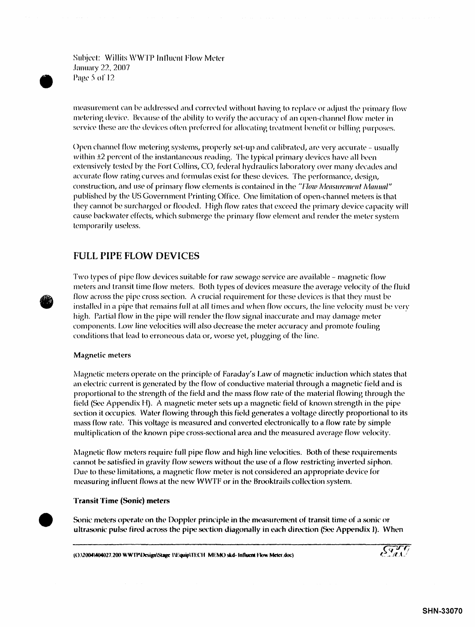Subject: Willits WWTP Influent Flow Meter **January 22, 2007** Page 5 of 12

measurement can be addressed and corrected without having to replace or adjust the primary flow metering device. Because of the ability to verify the accuracy of an open-channel flow meter in service these are the devices often preferred for allocating treatment benefit or billing purposes.

Open channel flow metering systems, properly set-up and calibrated, are very accurate – usually within ±2 percent of the instantaneous reading. The typical primary devices have all been extensively tested by the Fort Collins, CO, federal hydraulics laboratory over many decades and accurate flow rating curves and formulas exist for these devices. The performance, design, construction, and use of primary flow elements is contained in the "Flow Measurement Manual" published by the US Government Printing Office. One limitation of open-channel meters is that they cannot be surcharged or flooded. High flow rates that exceed the primary device capacity will cause backwater effects, which submerge the primary flow element and render the meter system temporarily useless.

# **FULL PIPE FLOW DEVICES**

Two types of pipe flow devices suitable for raw sewage service are available – magnetic flow meters and transit time flow meters. Both types of devices measure the average velocity of the fluid flow across the pipe cross section. A crucial requirement for these devices is that they must be installed in a pipe that remains full at all times and when flow occurs, the line velocity must be very high. Partial flow in the pipe will render the flow signal inaccurate and may damage meter components. Low line velocities will also decrease the meter accuracy and promote fouling conditions that lead to erroneous data or, worse yet, plugging of the line.

#### **Magnetic meters**

Magnetic meters operate on the principle of Faraday's Law of magnetic induction which states that an electric current is generated by the flow of conductive material through a magnetic field and is proportional to the strength of the field and the mass flow rate of the material flowing through the field (See Appendix H). A magnetic meter sets up a magnetic field of known strength in the pipe section it occupies. Water flowing through this field generates a voltage directly proportional to its mass flow rate. This voltage is measured and converted electronically to a flow rate by simple multiplication of the known pipe cross-sectional area and the measured average flow velocity.

Magnetic flow meters require full pipe flow and high line velocities. Both of these requirements cannot be satisfied in gravity flow sewers without the use of a flow restricting inverted siphon. Due to these limitations, a magnetic flow meter is not considered an appropriate device for measuring influent flows at the new WWTF or in the Brooktrails collection system.

#### **Transit Time (Sonic) meters**

Sonic meters operate on the Doppler principle in the measurement of transit time of a sonic or ultrasonic pulse fired across the pipe section diagonally in each direction (See Appendix I). When

(O.\2004\404027.200 WWTP\Design\Stage I\Equip\TECH MEMO skd- Influent Flow Meter.doc)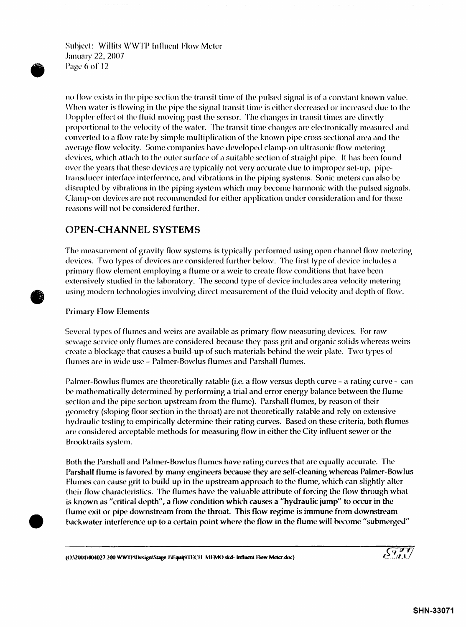Subject: Willits WWTP Influent Flow Meter January 22, 2007 Page 6 of 12

no flow exists in the pipe section the transit time of the pulsed signal is of a constant known value. When water is flowing in the pipe the signal transit time is either decreased or increased due to the Doppler effect of the fluid moving past the sensor. The changes in transit times are directly proportional to the velocity of the water. The transit time changes are electronically measured and converted to a flow rate by simple multiplication of the known pipe cross-sectional area and the average flow velocity. Some companies have developed clamp-on ultrasonic flow metering devices, which attach to the outer surface of a suitable section of straight pipe. It has been found over the years that these devices are typically not very accurate due to improper set-up, pipetransducer interface interference, and vibrations in the piping systems. Sonic meters can also *be*  disrupted by vibrations in the piping system which may become harmonic with the pulsed signals. Clamp-on devices are not recommended for either application under consideration and for these reasons will not be considered further.

## OPEN-CHANNEL SYSTEMS

The measurement of gravity flow systems is typically performed using open channel flow metering devices. Two types of devices are considered further below. The first type of device includes a primary flow element employing a flume or a weir to create flow conditions that have been extensively studied in the laboratory. The second type of device includes area velocity metering using modern technologies involving direct measurement of the fluid velocity and depth of flow.

#### Primary Flow Elements

 $\bullet$ 

•

Several types of flumes and weirs are available as primary flow measuring devices. For raw sewage *service* only flumes are considered because they pass grit and organic solids whereas weirs create a blockage that causes a build-up of such materials behind the weir plate. Two types of flumes are in wide *use* - Palmer-Bowlus flumes and Parshall flumes.

Palmer-Bowlus flumes are theoretically ratable (i.e. a flow versus depth curve - a rating curve - can be mathematically determined by performing a trial and error *energy* balance between the flume section and the pipe section upstream from the flume). Parshall flumes, by reason of their geometry (sloping floor section in the throat) are not theoretically ratable and rely on extensive hydraulic testing to empirically determine their rating curves. Based on these criteria, both flumes are considered acceptable methods for measuring flow in either the City influent sewer or the 13rooktrails system.

Both the Parshall and Palmer-Bowlus flumes have rating curves that are equally accurate. The Parshall flume is favored by many engineers because they are self-cleaning whereas Palmer-Bowlus flumes can cause grit to build up in the upstream approach to the flume, which can slightly alter their flow characteristics. The flumes have the valuable attribute of forcing the flow through what is known as "critical depth", a flow condition which causes a "hydraulic jump" to occur in the flume exit or pipe downstream from the throat. This flow regime is immune from downstream backwater interference up to a certain point where the flow in the flume will become "submerged"

(O.\2004\404027.200 WWTP\Design\Stage I\Equip\TECH MEMO skd- Influent Flow Meter.doc)

 $\widetilde{\mathcal{S}_{\mu}^{\nu}f}$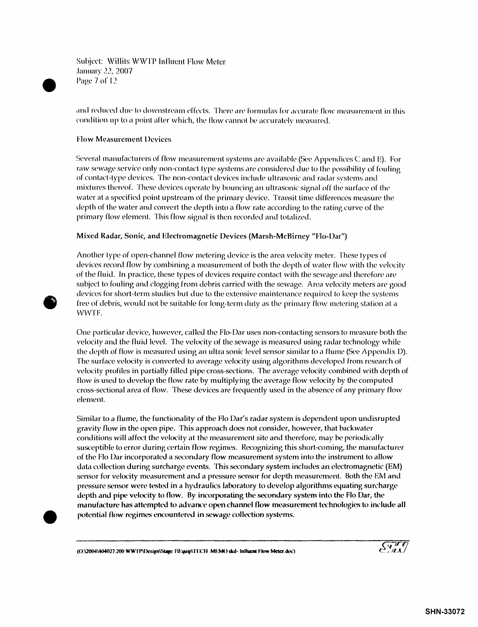**Subject: Willits WWTP Influent Flow Meter** January 22, 2007 Page 7 of 12

and reduced due to downstream effects. There are formulas for accurate flow measurement in this condition up to a point after which, the flow cannot be accurately measured.

#### **Flow Measurement Devices**

Several manufacturers of flow measurement systems are available (See Appendices C and E). For raw sewage service only non-contact type systems are considered due to the possibility of fouling of contact-type devices. The non-contact devices include ultrasonic and radar systems and mixtures thereof. These devices operate by bouncing an ultrasonic signal off the surface of the water at a specified point upstream of the primary device. Transit time differences measure the depth of the water and convert the depth into a flow rate according to the rating curve of the primary flow element. This flow signal is then recorded and totalized.

#### Mixed Radar, Sonic, and Electromagnetic Devices (Marsh-McBirney "Flo-Dar")

Another type of open-channel flow metering device is the area velocity meter. These types of devices record flow by combining a measurement of both the depth of water flow with the velocity of the fluid. In practice, these types of devices require contact with the sewage and therefore are subject to fouling and clogging from debris carried with the sewage. Area velocity meters are good devices for short-term studies but due to the extensive maintenance required to keep the systems free of debris, would not be suitable for long-term duty as the primary flow metering station at a WWTF.

One particular device, however, called the Flo-Dar uses non-contacting sensors to measure both the velocity and the fluid level. The velocity of the sewage is measured using radar technology while the depth of flow is measured using an ultra sonic level sensor similar to a flume (See Appendix D). The surface velocity is converted to average velocity using algorithms developed from research of velocity profiles in partially filled pipe cross-sections. The average velocity combined with depth of flow is used to develop the flow rate by multiplying the average flow velocity by the computed cross-sectional area of flow. These devices are frequently used in the absence of any primary flow element.

Similar to a flume, the functionality of the Flo Dar's radar system is dependent upon undisrupted gravity flow in the open pipe. This approach does not consider, however, that backwater conditions will affect the velocity at the measurement site and therefore, may be periodically susceptible to error during certain flow regimes. Recognizing this short-coming, the manufacturer of the Flo Dar incorporated a secondary flow measurement system into the instrument to allow data collection during surcharge events. This secondary system includes an electromagnetic (EM) sensor for velocity measurement and a pressure sensor for depth measurement. Both the EM and pressure sensor were tested in a hydraulics laboratory to develop algorithms equating surcharge depth and pipe velocity to flow. By incorporating the secondary system into the Flo Dar, the manufacture has attempted to advance open channel flow-measurement technologies to include all potential flow regimes encountered in sewage collection systems.

(O)2004\404027.200 WWTP\Design\Stage 1\Equip\TECH\_MEMO skd- Influent Flow Meter.doc)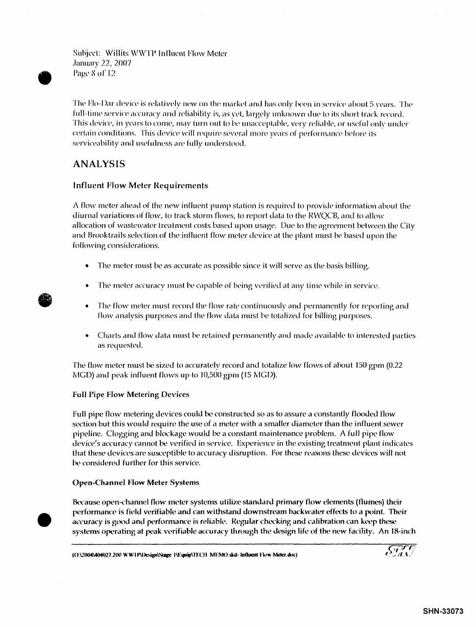Subject: Willits WWTP Influent Flow Meter **January 22, 2007** Page 8 of 12

The Flo-Dar device is relatively new on the market and has only been in service about 5 years. The full-time service accuracy and reliability is, as yet, largely unknown due to its short track record. This device, in years to come, may turn out to be unacceptable, very reliable, or useful only under certain conditions. This device will require several more years of performance before its serviceability and usefulness are fully understood.

# **ANALYSIS**

#### **Influent Flow Meter Requirements**

A flow meter ahead of the new influent pump station is required to provide information about the diurnal variations of flow, to track storm flows, to report data to the RWQCB, and to allow allocation of wastewater treatment costs based upon usage. Due to the agreement between the City and Brooktrails selection of the influent flow meter device at the plant must be based upon the following considerations.

- The meter must be as accurate as possible since it will serve as the basis billing.  $\bullet$
- The meter accuracy must be capable of being verified at any time while in service.
- $\bullet$ The flow meter must record the flow rate continuously and permanently for reporting and flow analysis purposes and the flow data must be totalized for billing purposes.
- Charts and flow data must be retained permanently and made available to interested parties as requested.

The flow meter must be sized to accurately record and totalize low flows of about 150 gpm (0.22) MGD) and peak influent flows up to 10,500 gpm (15 MGD).

#### **Full Pipe Flow Metering Devices**

Full pipe flow metering devices could be constructed so as to assure a constantly flooded flow section but this would require the use of a meter with a smaller diameter than the influent sewer pipeline. Clogging and blockage would be a constant maintenance problem. A full pipe flow device's accuracy cannot be verified in service. Experience in the existing treatment plant indicates that these devices are susceptible to accuracy disruption. For these reasons these devices will not be considered further for this service.

#### **Open-Channel Flow Meter Systems**

Because open-channel flow meter systems utilize standard primary flow elements (flumes) their performance is field verifiable and can withstand downstream backwater effects to a point. Their accuracy is good and performance is reliable. Regular checking and calibration can keep these systems operating at peak verifiable accuracy through the design life of the new facility. An 18-inch

(O:\2004\404027.200 WW1P\Design\Stage I\Equip\TECH\_MEMO skd- Influent Flow Meter.doc)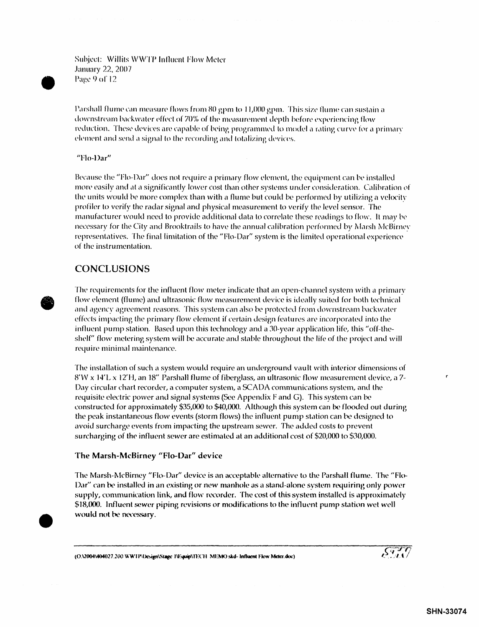Suhject: Willits \V\VTP Influent FJow Meter January 22, 2007 Page 9 of 12

Parshall flume can measure flows from 80 gpm to 11,000 gpm. This size flume can sustain a downstream backwater effect of 70% of the measurement depth before experiencing flow reduction. These devices are capable of being programmed to model a rating curve for a primary element and send a signal to the recording and totalizing devices.

'Tlo-Dar"

Because the "Flo-Dar" does not require a primary flow element, the equipment can be installed more easily and at a significantly lower cost than other systems under consideration. Calibration of the units would be more complex than with a flume but could be performed by utilizing a velocity profiler to verify the radar signal and physical measurement to verify the level sensor. The manufacturer would need to provide additional data to correlate these readings to flow. It may be. necessary for the City and Brooktrails to have the annual calibration performed by Marsh McBirney representatives. The final limitation of the "Flo-Dar" system is the limited operational experience of the instrumentation.

## CONCLUSIONS

**•** 

•

The requirements for the influent flow meter indicate that an open-channel system with a primary flow plement (flume) and ultrasonic flow measurement device is ideally suited for both technical and agency agreement reasons. This system can also be protected from downstream backwater effects impacting the primary flow element if certain design features are incorporated into the influent pump station. Based upon this technology and a JO-year application life, this "off-theshelf" flow metering system will be accurate and stable throughout the life of the project and will require minimal maintenance.

The installation of *such* a system would require an underground vault with interior dimensions of 8'VV xJ4'L x 12'H, an 18" Parshall flume of fiberglass, an ultrasonic flow measurement device, a 7- Day circular chart recorder, a computer system, a SCAOA communications system, and the requisite electric power and signal systems (See Appendix F and G). This system can be constructed for approximately \$35,000 to \$40,000. Although this system can be flooded out during the peak instantaneous flow events (storm flows) the influent pump station can he designed to avoid surcharge events from impacting the upstream sewer. The added costs to prevent surcharging of the influent sewer are estimated at an additional cost of \$20,000 to \$30,000.

#### The Marsh-McBirney "Flo-Dar" device

The Marsh-McBirney "Flo-Dar" device is an acceptable alternative to the Parshall flume. The "Flo-Dar" can he installed in an existing or new manhole as a stand-alone system requiring only power supply, communication link, and flow recorder. The cost of this system installed is approximately \$18,000. Influent sewer piping revisions or modifications to the influent pump station wet well would not be necessary.

(O.\2004\404027.200 WWTP(Design\Stage I\Equip\TECH MEMO skd- Influent Flow Meter.doc)

r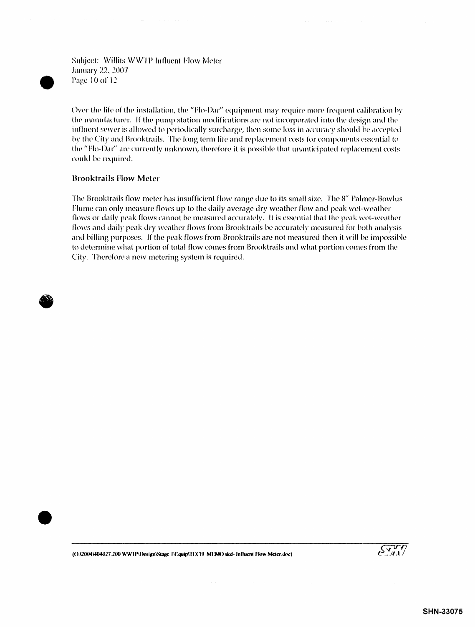Subject: Willits WWTP Influent Flow Meter January 22, 2007 Page 10 of 12

Over the life of the installation, the "Flo-Dar" equipment may require more frequent calibration by the manufacturer. If the pump station modifications are not incorporated into the design and the influent sewer is allowed to periodically surcharge, then some loss in accuracy should be accepted by the City and Brooktrails. The long term life and replacement costs for components essential to the "Flo-Dar" are currently unknown, therefore it is possible that unanticipated replacement costs could be required.

#### **Brooktrails Flow Meter**

The Brooktrails flow meter has insufficient flow range due to its small size. The 8" Palmer-Bowlus Flume can only measure flows up to the daily average dry weather flow and peak wet-weather flows or daily peak flows cannot be measured accurately. It is essential that the peak wet-weather flows and daily peak dry weather flows from Brooktrails be accurately measured for both analysis and billing purposes. If the peak flows from Brooktrails are not measured then it will be impossible to determine what portion of total flow comes from Brooktrails and what portion comes from the City. Therefore a new metering system is required.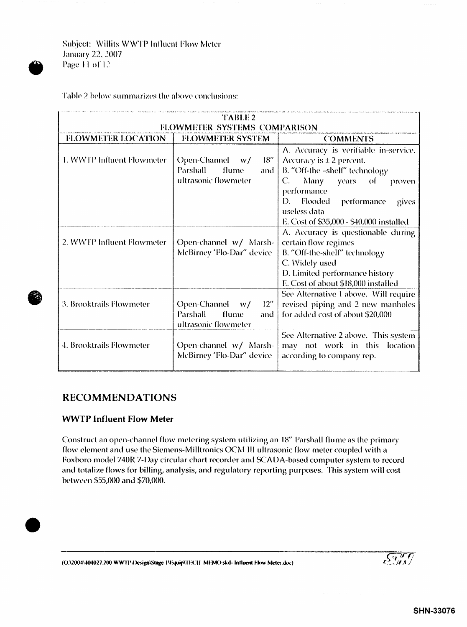Subject: Willits WWTP Influent Flow Meter January 22, 2007 Page 11 of 12

Table 2 below summarizes the above conclusions:

| TABLE 2<br>FLOWMETER SYSTEMS COMPARISON |                                                                                     |                                                                                                                                                                                                                                                                   |  |  |  |  |  |  |
|-----------------------------------------|-------------------------------------------------------------------------------------|-------------------------------------------------------------------------------------------------------------------------------------------------------------------------------------------------------------------------------------------------------------------|--|--|--|--|--|--|
| <b>FLOWMETER LOCATION</b>               | <b>FLOWMETER SYSTEM</b>                                                             | <b>COMMENTS</b>                                                                                                                                                                                                                                                   |  |  |  |  |  |  |
| 1. WWTP Influent Flowmeter              | 18"<br>Open-Channel $w/$<br><b>Parshall</b><br>flume<br>and<br>ultrasonic flowmeter | A. Accuracy is verifiable in-service.<br>Accuracy is $\pm$ 2 percent.<br>B. "Off-the -shelf" technology<br>C.<br>Many<br>years of<br>proven<br>performance<br>Flooded<br>D.<br>- performance<br>gives<br>useless data<br>E. Cost of \$35,000 - \$40,000 installed |  |  |  |  |  |  |
| 2. WWTP Influent Flowmeter              | Open-channel w/ Marsh-<br>McBirney 'Flo-Dar" device                                 | A. Accuracy is questionable during<br>certain flow regimes<br>B. "Off-the-shelf" technology<br>C. Widely used<br>D. Limited performance history<br>E. Cost of about \$18,000 installed                                                                            |  |  |  |  |  |  |
| 3. Brooktrails Flowmeter                | Open-Channel w/ 12"<br><b>Parshall</b><br>flume<br>and<br>ultrasonic flowmeter      | See Alternative 1 above. Will require<br>revised piping and 2 new manholes<br>for added cost of about \$20,000                                                                                                                                                    |  |  |  |  |  |  |
| 4. Brooktrails Flowmeter                | Open-channel w/ Marsh-<br>McBirney 'Flo-Dar" device                                 | See Alternative 2 above. This system<br>may not work in this location<br>according to company rep.                                                                                                                                                                |  |  |  |  |  |  |

## **RECOMMENDATIONS**

#### **WWTP Influent Flow Meter**

Construct an open-channel flow metering system utilizing an 18" Parshall flume as the primary flow element and use the Siemens-Milltronics OCM III ultrasonic flow meter coupled with a Foxboro model 740R 7-Day circular chart recorder and SCADA-based computer system to record and totalize flows for billing, analysis, and regulatory reporting purposes. This system will cost between \$55,000 and \$70,000.